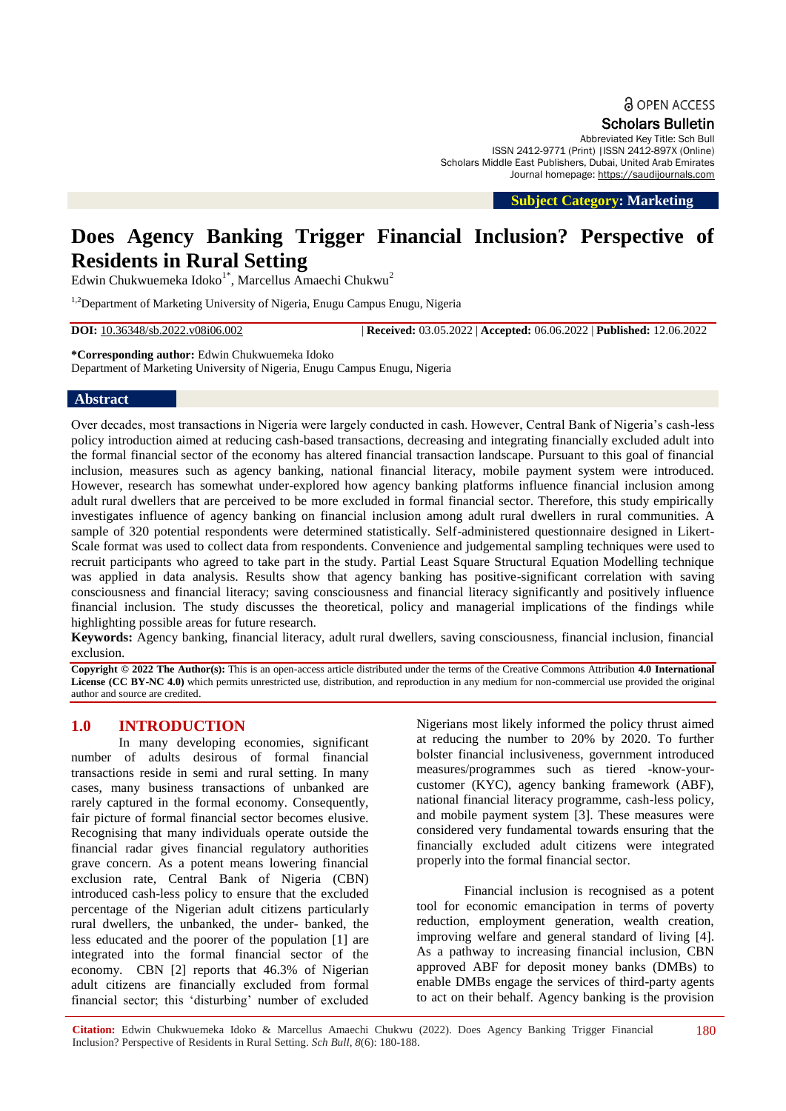**a** OPEN ACCESS

Scholars Bulletin

Abbreviated Key Title: Sch Bull ISSN 2412-9771 (Print) |ISSN 2412-897X (Online) Scholars Middle East Publishers, Dubai, United Arab Emirates Journal homepage: [https://saudijournals.com](https://saudijournals.com/sb)

 **Subject Category: Marketing**

# **Does Agency Banking Trigger Financial Inclusion? Perspective of Residents in Rural Setting**

Edwin Chukwuemeka Idoko<sup>1\*</sup>, Marcellus Amaechi Chukwu<sup>2</sup>

<sup>1,2</sup>Department of Marketing University of Nigeria, Enugu Campus Enugu, Nigeria

**DOI:** 10.36348/sb.2022.v08i06.002 | **Received:** 03.05.2022 | **Accepted:** 06.06.2022 | **Published:** 12.06.2022

**\*Corresponding author:** Edwin Chukwuemeka Idoko Department of Marketing University of Nigeria, Enugu Campus Enugu, Nigeria

## **Abstract**

Over decades, most transactions in Nigeria were largely conducted in cash. However, Central Bank of Nigeria's cash-less policy introduction aimed at reducing cash-based transactions, decreasing and integrating financially excluded adult into the formal financial sector of the economy has altered financial transaction landscape. Pursuant to this goal of financial inclusion, measures such as agency banking, national financial literacy, mobile payment system were introduced. However, research has somewhat under-explored how agency banking platforms influence financial inclusion among adult rural dwellers that are perceived to be more excluded in formal financial sector. Therefore, this study empirically investigates influence of agency banking on financial inclusion among adult rural dwellers in rural communities. A sample of 320 potential respondents were determined statistically. Self-administered questionnaire designed in Likert-Scale format was used to collect data from respondents. Convenience and judgemental sampling techniques were used to recruit participants who agreed to take part in the study. Partial Least Square Structural Equation Modelling technique was applied in data analysis. Results show that agency banking has positive-significant correlation with saving consciousness and financial literacy; saving consciousness and financial literacy significantly and positively influence financial inclusion. The study discusses the theoretical, policy and managerial implications of the findings while highlighting possible areas for future research.

**Keywords:** Agency banking, financial literacy, adult rural dwellers, saving consciousness, financial inclusion, financial exclusion.

**Copyright © 2022 The Author(s):** This is an open-access article distributed under the terms of the Creative Commons Attribution **4.0 International License (CC BY-NC 4.0)** which permits unrestricted use, distribution, and reproduction in any medium for non-commercial use provided the original author and source are credited.

#### **1.0 INTRODUCTION**

In many developing economies, significant number of adults desirous of formal financial transactions reside in semi and rural setting. In many cases, many business transactions of unbanked are rarely captured in the formal economy. Consequently, fair picture of formal financial sector becomes elusive. Recognising that many individuals operate outside the financial radar gives financial regulatory authorities grave concern. As a potent means lowering financial exclusion rate, Central Bank of Nigeria (CBN) introduced cash-less policy to ensure that the excluded percentage of the Nigerian adult citizens particularly rural dwellers, the unbanked, the under- banked, the less educated and the poorer of the population [1] are integrated into the formal financial sector of the economy. CBN [2] reports that 46.3% of Nigerian adult citizens are financially excluded from formal financial sector; this 'disturbing' number of excluded

Nigerians most likely informed the policy thrust aimed at reducing the number to 20% by 2020. To further bolster financial inclusiveness, government introduced measures/programmes such as tiered -know-yourcustomer (KYC), agency banking framework (ABF), national financial literacy programme, cash-less policy, and mobile payment system [3]. These measures were considered very fundamental towards ensuring that the financially excluded adult citizens were integrated properly into the formal financial sector.

Financial inclusion is recognised as a potent tool for economic emancipation in terms of poverty reduction, employment generation, wealth creation, improving welfare and general standard of living [4]. As a pathway to increasing financial inclusion, CBN approved ABF for deposit money banks (DMBs) to enable DMBs engage the services of third-party agents to act on their behalf. Agency banking is the provision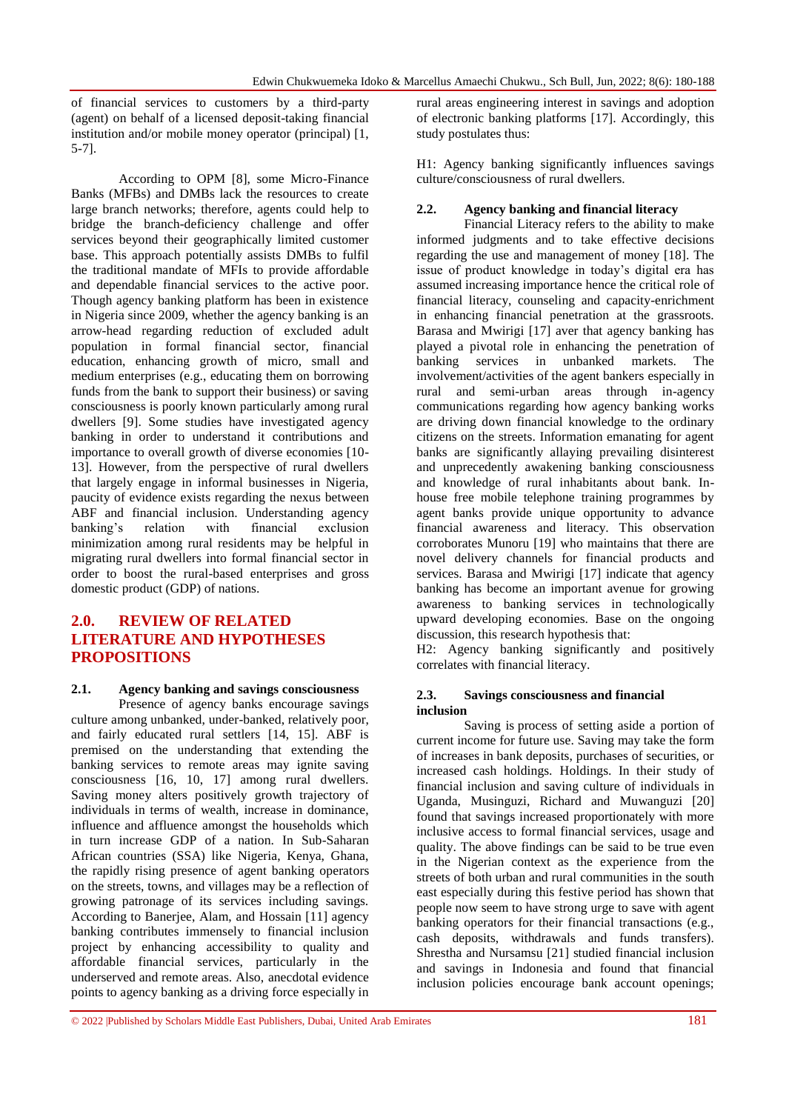of financial services to customers by a third-party (agent) on behalf of a licensed deposit-taking financial institution and/or mobile money operator (principal) [1, 5-7].

According to OPM [8], some Micro-Finance Banks (MFBs) and DMBs lack the resources to create large branch networks; therefore, agents could help to bridge the branch-deficiency challenge and offer services beyond their geographically limited customer base. This approach potentially assists DMBs to fulfil the traditional mandate of MFIs to provide affordable and dependable financial services to the active poor. Though agency banking platform has been in existence in Nigeria since 2009, whether the agency banking is an arrow-head regarding reduction of excluded adult population in formal financial sector, financial education, enhancing growth of micro, small and medium enterprises (e.g., educating them on borrowing funds from the bank to support their business) or saving consciousness is poorly known particularly among rural dwellers [9]. Some studies have investigated agency banking in order to understand it contributions and importance to overall growth of diverse economies [10- 13]. However, from the perspective of rural dwellers that largely engage in informal businesses in Nigeria, paucity of evidence exists regarding the nexus between ABF and financial inclusion. Understanding agency banking's relation with financial exclusion minimization among rural residents may be helpful in migrating rural dwellers into formal financial sector in order to boost the rural-based enterprises and gross domestic product (GDP) of nations.

## **2.0. REVIEW OF RELATED LITERATURE AND HYPOTHESES PROPOSITIONS**

## **2.1. Agency banking and savings consciousness**

Presence of agency banks encourage savings culture among unbanked, under-banked, relatively poor, and fairly educated rural settlers [14, 15]. ABF is premised on the understanding that extending the banking services to remote areas may ignite saving consciousness [16, 10, 17] among rural dwellers. Saving money alters positively growth trajectory of individuals in terms of wealth, increase in dominance, influence and affluence amongst the households which in turn increase GDP of a nation. In Sub-Saharan African countries (SSA) like Nigeria, Kenya, Ghana, the rapidly rising presence of agent banking operators on the streets, towns, and villages may be a reflection of growing patronage of its services including savings. According to Banerjee, Alam, and Hossain [11] agency banking contributes immensely to financial inclusion project by enhancing accessibility to quality and affordable financial services, particularly in the underserved and remote areas. Also, anecdotal evidence points to agency banking as a driving force especially in

rural areas engineering interest in savings and adoption of electronic banking platforms [17]. Accordingly, this study postulates thus:

H1: Agency banking significantly influences savings culture/consciousness of rural dwellers.

## **2.2. Agency banking and financial literacy**

Financial Literacy refers to the ability to make informed judgments and to take effective decisions regarding the use and management of money [18]. The issue of product knowledge in today's digital era has assumed increasing importance hence the critical role of financial literacy, counseling and capacity-enrichment in enhancing financial penetration at the grassroots. Barasa and Mwirigi [17] aver that agency banking has played a pivotal role in enhancing the penetration of banking services in unbanked markets. The involvement/activities of the agent bankers especially in rural and semi-urban areas through in-agency communications regarding how agency banking works are driving down financial knowledge to the ordinary citizens on the streets. Information emanating for agent banks are significantly allaying prevailing disinterest and unprecedently awakening banking consciousness and knowledge of rural inhabitants about bank. Inhouse free mobile telephone training programmes by agent banks provide unique opportunity to advance financial awareness and literacy. This observation corroborates Munoru [19] who maintains that there are novel delivery channels for financial products and services. Barasa and Mwirigi [17] indicate that agency banking has become an important avenue for growing awareness to banking services in technologically upward developing economies. Base on the ongoing discussion, this research hypothesis that:

H2: Agency banking significantly and positively correlates with financial literacy.

#### **2.3. Savings consciousness and financial inclusion**

Saving is process of setting aside a portion of current income for future use. Saving may take the form of increases in bank deposits, purchases of securities, or increased cash holdings. Holdings. In their study of financial inclusion and saving culture of individuals in Uganda, Musinguzi, Richard and Muwanguzi [20] found that savings increased proportionately with more inclusive access to formal financial services, usage and quality. The above findings can be said to be true even in the Nigerian context as the experience from the streets of both urban and rural communities in the south east especially during this festive period has shown that people now seem to have strong urge to save with agent banking operators for their financial transactions (e.g., cash deposits, withdrawals and funds transfers). Shrestha and Nursamsu [21] studied financial inclusion and savings in Indonesia and found that financial inclusion policies encourage bank account openings;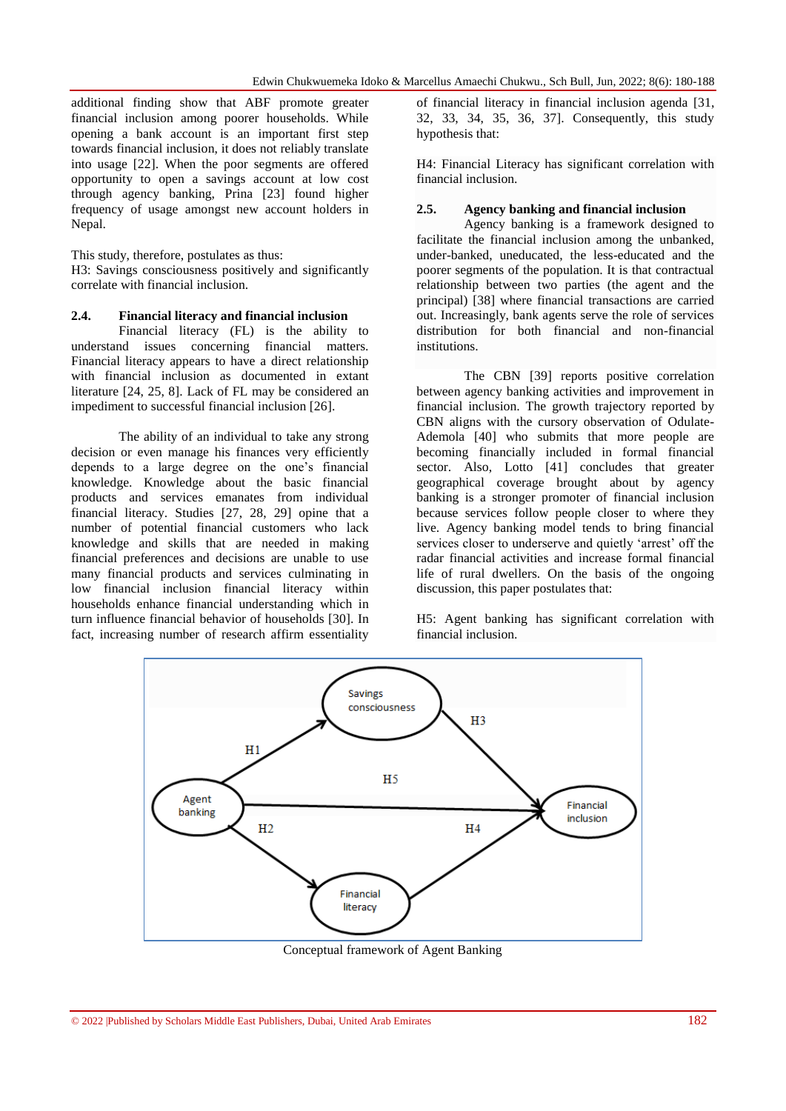additional finding show that ABF promote greater financial inclusion among poorer households. While opening a bank account is an important first step towards financial inclusion, it does not reliably translate into usage [22]. When the poor segments are offered opportunity to open a savings account at low cost through agency banking, Prina [23] found higher frequency of usage amongst new account holders in Nepal.

This study, therefore, postulates as thus:

H3: Savings consciousness positively and significantly correlate with financial inclusion.

#### **2.4. Financial literacy and financial inclusion**

Financial literacy (FL) is the ability to understand issues concerning financial matters. Financial literacy appears to have a direct relationship with financial inclusion as documented in extant literature [24, 25, 8]. Lack of FL may be considered an impediment to successful financial inclusion [26].

The ability of an individual to take any strong decision or even manage his finances very efficiently depends to a large degree on the one's financial knowledge. Knowledge about the basic financial products and services emanates from individual financial literacy. Studies [27, 28, 29] opine that a number of potential financial customers who lack knowledge and skills that are needed in making financial preferences and decisions are unable to use many financial products and services culminating in low financial inclusion financial literacy within households enhance financial understanding which in turn influence financial behavior of households [30]. In fact, increasing number of research affirm essentiality

of financial literacy in financial inclusion agenda [31, 32, 33, 34, 35, 36, 37]. Consequently, this study hypothesis that:

H4: Financial Literacy has significant correlation with financial inclusion.

#### **2.5. Agency banking and financial inclusion**

Agency banking is a framework designed to facilitate the financial inclusion among the unbanked, under-banked, uneducated, the less-educated and the poorer segments of the population. It is that contractual relationship between two parties (the agent and the principal) [38] where financial transactions are carried out. Increasingly, bank agents serve the role of services distribution for both financial and non-financial institutions.

The CBN [39] reports positive correlation between agency banking activities and improvement in financial inclusion. The growth trajectory reported by CBN aligns with the cursory observation of Odulate-Ademola [40] who submits that more people are becoming financially included in formal financial sector. Also, Lotto [41] concludes that greater geographical coverage brought about by agency banking is a stronger promoter of financial inclusion because services follow people closer to where they live. Agency banking model tends to bring financial services closer to underserve and quietly 'arrest' off the radar financial activities and increase formal financial life of rural dwellers. On the basis of the ongoing discussion, this paper postulates that:

H5: Agent banking has significant correlation with financial inclusion.



Conceptual framework of Agent Banking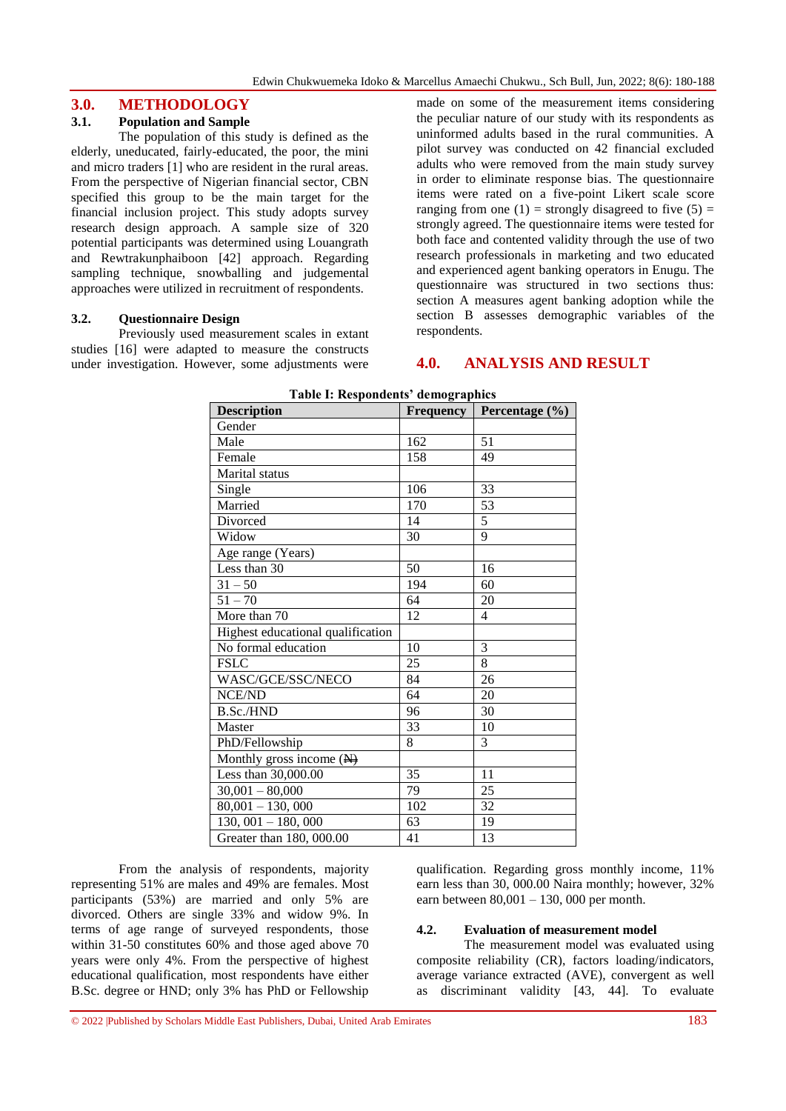## **3.0. METHODOLOGY**

### **3.1. Population and Sample**

The population of this study is defined as the elderly, uneducated, fairly-educated, the poor, the mini and micro traders [1] who are resident in the rural areas. From the perspective of Nigerian financial sector, CBN specified this group to be the main target for the financial inclusion project. This study adopts survey research design approach. A sample size of 320 potential participants was determined using Louangrath and Rewtrakunphaiboon [42] approach. Regarding sampling technique, snowballing and judgemental approaches were utilized in recruitment of respondents.

## **3.2. Questionnaire Design**

Previously used measurement scales in extant studies [16] were adapted to measure the constructs under investigation. However, some adjustments were

made on some of the measurement items considering the peculiar nature of our study with its respondents as uninformed adults based in the rural communities. A pilot survey was conducted on 42 financial excluded adults who were removed from the main study survey in order to eliminate response bias. The questionnaire items were rated on a five-point Likert scale score ranging from one (1) = strongly disagreed to five (5) = strongly agreed. The questionnaire items were tested for both face and contented validity through the use of two research professionals in marketing and two educated and experienced agent banking operators in Enugu. The questionnaire was structured in two sections thus: section A measures agent banking adoption while the section B assesses demographic variables of the respondents.

## **4.0. ANALYSIS AND RESULT**

| <b>Table 1: Respondents demographics</b> |     |                                |  |  |
|------------------------------------------|-----|--------------------------------|--|--|
| <b>Description</b>                       |     | Frequency   Percentage $(\% )$ |  |  |
| Gender                                   |     |                                |  |  |
| Male                                     | 162 | $\overline{51}$                |  |  |
| Female                                   | 158 | 49                             |  |  |
| Marital status                           |     |                                |  |  |
| Single                                   | 106 | 33                             |  |  |
| Married                                  | 170 | 53                             |  |  |
| Divorced                                 | 14  | 5                              |  |  |
| Widow                                    | 30  | 9                              |  |  |
| Age range (Years)                        |     |                                |  |  |
| Less than 30                             | 50  | 16                             |  |  |
| $31 - 50$                                | 194 | 60                             |  |  |
| $51 - 70$                                | 64  | 20                             |  |  |
| More than 70                             | 12  | $\overline{4}$                 |  |  |
| Highest educational qualification        |     |                                |  |  |
| No formal education                      | 10  | 3                              |  |  |
| <b>FSLC</b>                              | 25  | 8                              |  |  |
| WASC/GCE/SSC/NECO                        | 84  | 26                             |  |  |
| NCE/ND                                   | 64  | 20                             |  |  |
| <b>B.Sc./HND</b>                         | 96  | 30                             |  |  |
| Master                                   | 33  | 10                             |  |  |
| PhD/Fellowship                           | 8   | 3                              |  |  |
| Monthly gross income (N)                 |     |                                |  |  |
| Less than 30,000.00                      | 35  | 11                             |  |  |
| $30,001 - 80,000$                        | 79  | 25                             |  |  |
| $80,001 - 130,000$                       | 102 | 32                             |  |  |
| $130,001 - 180,000$                      | 63  | 19                             |  |  |
| Greater than 180, 000.00                 | 41  | 13                             |  |  |

# **Table I: Respondents' demographics**

From the analysis of respondents, majority representing 51% are males and 49% are females. Most participants (53%) are married and only 5% are divorced. Others are single 33% and widow 9%. In terms of age range of surveyed respondents, those within 31-50 constitutes 60% and those aged above 70 years were only 4%. From the perspective of highest educational qualification, most respondents have either B.Sc. degree or HND; only 3% has PhD or Fellowship

qualification. Regarding gross monthly income, 11% earn less than 30, 000.00 Naira monthly; however, 32% earn between  $80,001 - 130,000$  per month.

#### **4.2. Evaluation of measurement model**

The measurement model was evaluated using composite reliability (CR), factors loading/indicators, average variance extracted (AVE), convergent as well as discriminant validity [43, 44]. To evaluate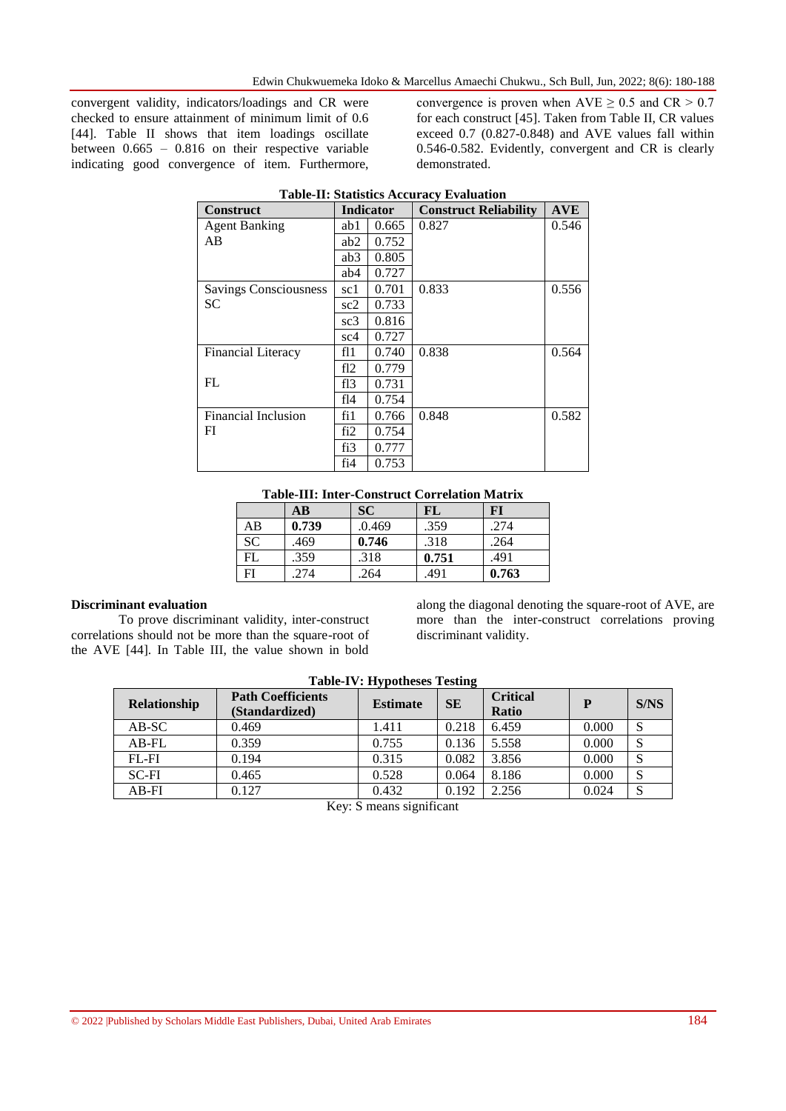convergent validity, indicators/loadings and CR were checked to ensure attainment of minimum limit of 0.6 [44]. Table II shows that item loadings oscillate between 0.665 – 0.816 on their respective variable indicating good convergence of item. Furthermore,

convergence is proven when  $AVE \ge 0.5$  and  $CR > 0.7$ for each construct [45]. Taken from Table II, CR values exceed 0.7 (0.827-0.848) and AVE values fall within 0.546-0.582. Evidently, convergent and CR is clearly demonstrated.

| <b>Construct</b>           | Indicator |       | <b>Construct Reliability</b> | <b>AVE</b> |
|----------------------------|-----------|-------|------------------------------|------------|
| <b>Agent Banking</b>       | ab1       | 0.665 | 0.827                        | 0.546      |
| AB                         | ab2       | 0.752 |                              |            |
|                            | ab3       | 0.805 |                              |            |
|                            | ab4       | 0.727 |                              |            |
| Savings Consciousness      | sc1       | 0.701 | 0.833                        | 0.556      |
| <b>SC</b>                  | sc2       | 0.733 |                              |            |
|                            | sc3       | 0.816 |                              |            |
|                            | sc4       | 0.727 |                              |            |
| <b>Financial Literacy</b>  | f11       | 0.740 | 0.838                        | 0.564      |
|                            | fl2       | 0.779 |                              |            |
| FL                         | f13       | 0.731 |                              |            |
|                            | fl4       | 0.754 |                              |            |
| <b>Financial Inclusion</b> | fi1       | 0.766 | 0.848                        | 0.582      |
| FI                         | fi2       | 0.754 |                              |            |
|                            | fi3       | 0.777 |                              |            |
|                            | fi4       | 0.753 |                              |            |

## **Table-II: Statistics Accuracy Evaluation**

#### **Table-III: Inter-Construct Correlation Matrix**

|           | $\bf AB$ | SC     | <b>FL</b> | FI    |
|-----------|----------|--------|-----------|-------|
| AB        | 0.739    | .0.469 | .359      | .274  |
| <b>SC</b> | .469     | 0.746  | .318      | .264  |
| FL        | .359     | .318   | 0.751     | .491  |
| F1        | .274     | .264   | .491      | 0.763 |

#### **Discriminant evaluation**

To prove discriminant validity, inter-construct correlations should not be more than the square-root of the AVE [44]. In Table III, the value shown in bold

along the diagonal denoting the square-root of AVE, are more than the inter-construct correlations proving discriminant validity.

| Table-TV, Hypotheses Testing |                                            |                 |           |                          |       |      |
|------------------------------|--------------------------------------------|-----------------|-----------|--------------------------|-------|------|
| <b>Relationship</b>          | <b>Path Coefficients</b><br>(Standardized) | <b>Estimate</b> | <b>SE</b> | <b>Critical</b><br>Ratio | P     | S/NS |
| $AB-SC$                      | 0.469                                      | 1.411           | 0.218     | 6.459                    | 0.000 | S    |
| $AB$ -FL                     | 0.359                                      | 0.755           | 0.136     | 5.558                    | 0.000 | S    |
| FL-FI                        | 0.194                                      | 0.315           | 0.082     | 3.856                    | 0.000 | S    |
| $SC-FI$                      | 0.465                                      | 0.528           | 0.064     | 8.186                    | 0.000 | S    |
| $AB$ -FI                     | 0.127                                      | 0.432           | 0.192     | 2.256                    | 0.024 | S    |

**Table-IV: Hypotheses Testing**

Key: S means significant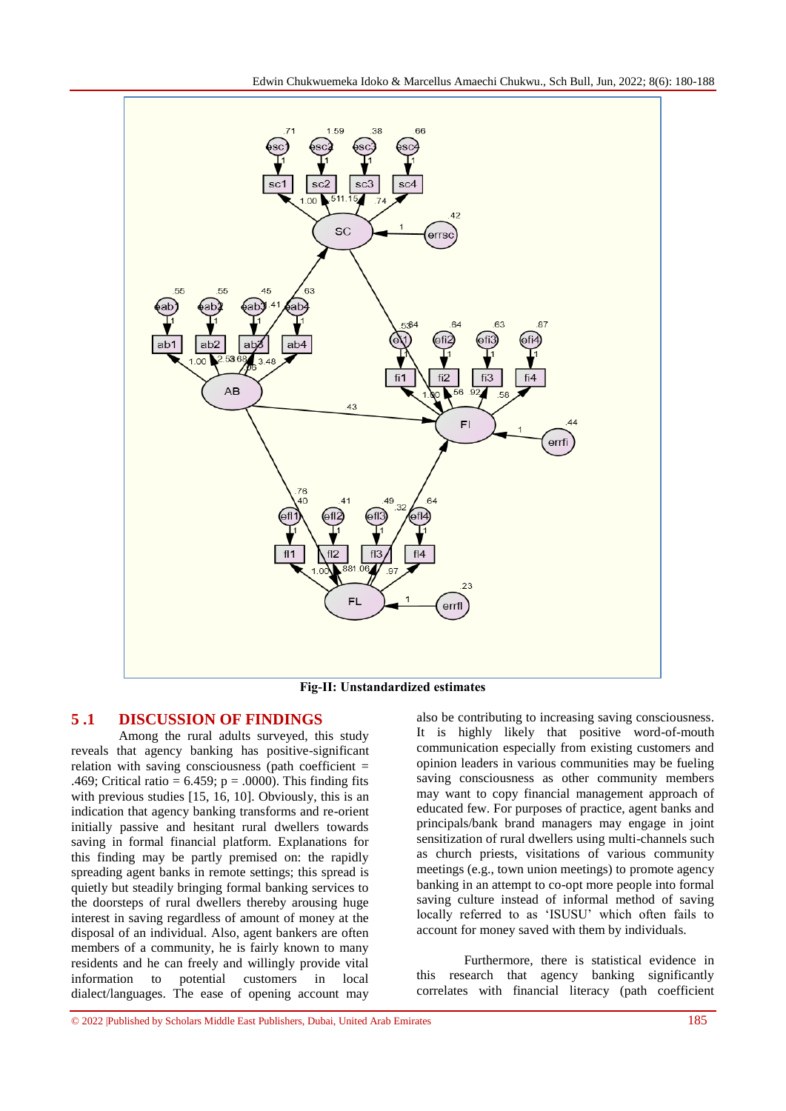Edwin Chukwuemeka Idoko & Marcellus Amaechi Chukwu., Sch Bull, Jun, 2022; 8(6): 180-188



**Fig-II: Unstandardized estimates**

## **5 .1 DISCUSSION OF FINDINGS**

Among the rural adults surveyed, this study reveals that agency banking has positive-significant relation with saving consciousness (path coefficient  $=$ .469; Critical ratio =  $6.459$ ; p = .0000). This finding fits with previous studies [15, 16, 10]. Obviously, this is an indication that agency banking transforms and re-orient initially passive and hesitant rural dwellers towards saving in formal financial platform. Explanations for this finding may be partly premised on: the rapidly spreading agent banks in remote settings; this spread is quietly but steadily bringing formal banking services to the doorsteps of rural dwellers thereby arousing huge interest in saving regardless of amount of money at the disposal of an individual. Also, agent bankers are often members of a community, he is fairly known to many residents and he can freely and willingly provide vital information to potential customers in local dialect/languages. The ease of opening account may

also be contributing to increasing saving consciousness. It is highly likely that positive word-of-mouth communication especially from existing customers and opinion leaders in various communities may be fueling saving consciousness as other community members may want to copy financial management approach of educated few. For purposes of practice, agent banks and principals/bank brand managers may engage in joint sensitization of rural dwellers using multi-channels such as church priests, visitations of various community meetings (e.g., town union meetings) to promote agency banking in an attempt to co-opt more people into formal saving culture instead of informal method of saving locally referred to as 'ISUSU' which often fails to account for money saved with them by individuals.

Furthermore, there is statistical evidence in this research that agency banking significantly correlates with financial literacy (path coefficient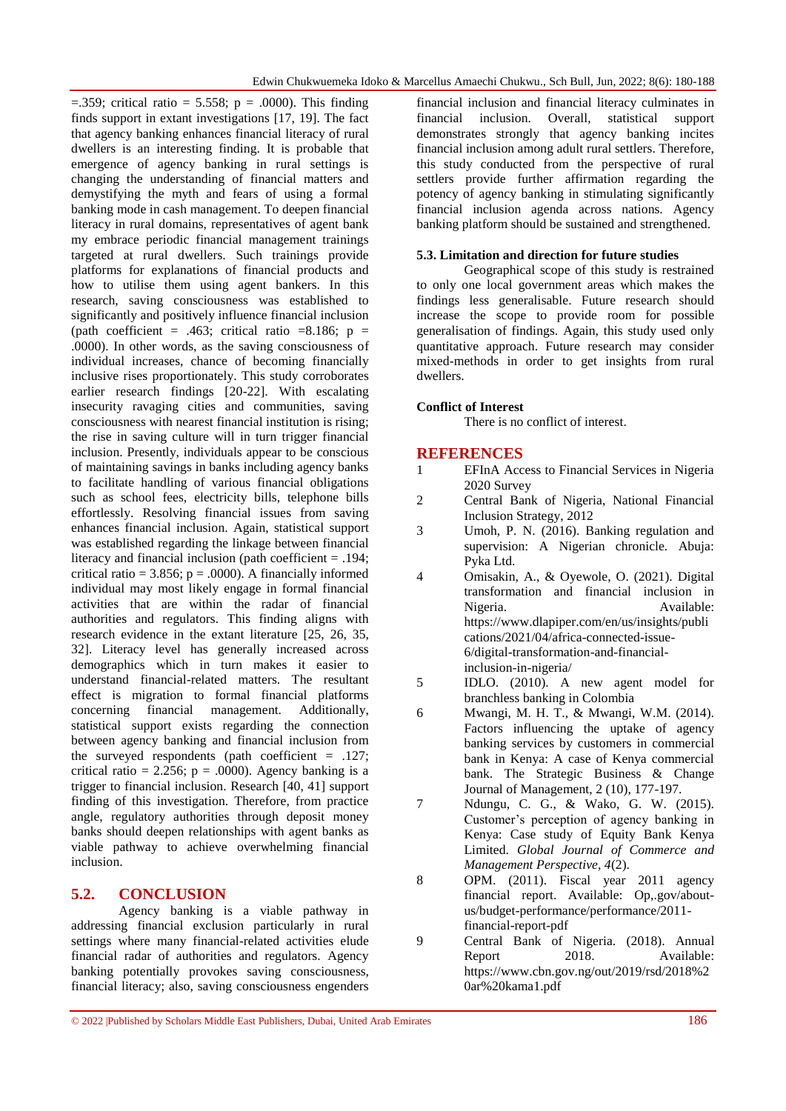$=$ .359; critical ratio  $=$  5.558; p  $=$  .0000). This finding finds support in extant investigations [17, 19]. The fact that agency banking enhances financial literacy of rural dwellers is an interesting finding. It is probable that emergence of agency banking in rural settings is changing the understanding of financial matters and demystifying the myth and fears of using a formal banking mode in cash management. To deepen financial literacy in rural domains, representatives of agent bank my embrace periodic financial management trainings targeted at rural dwellers. Such trainings provide platforms for explanations of financial products and how to utilise them using agent bankers. In this research, saving consciousness was established to significantly and positively influence financial inclusion (path coefficient = .463; critical ratio =8.186;  $p =$ .0000). In other words, as the saving consciousness of individual increases, chance of becoming financially inclusive rises proportionately. This study corroborates earlier research findings [20-22]. With escalating insecurity ravaging cities and communities, saving consciousness with nearest financial institution is rising; the rise in saving culture will in turn trigger financial inclusion. Presently, individuals appear to be conscious of maintaining savings in banks including agency banks to facilitate handling of various financial obligations such as school fees, electricity bills, telephone bills effortlessly. Resolving financial issues from saving enhances financial inclusion. Again, statistical support was established regarding the linkage between financial literacy and financial inclusion (path coefficient = .194; critical ratio =  $3.856$ ; p = .0000). A financially informed individual may most likely engage in formal financial activities that are within the radar of financial authorities and regulators. This finding aligns with research evidence in the extant literature [25, 26, 35, 32]. Literacy level has generally increased across demographics which in turn makes it easier to understand financial-related matters. The resultant effect is migration to formal financial platforms concerning financial management. Additionally, statistical support exists regarding the connection between agency banking and financial inclusion from the surveyed respondents (path coefficient  $= .127$ ; critical ratio = 2.256;  $p = .0000$ ). Agency banking is a trigger to financial inclusion. Research [40, 41] support finding of this investigation. Therefore, from practice angle, regulatory authorities through deposit money banks should deepen relationships with agent banks as viable pathway to achieve overwhelming financial inclusion.

## **5.2. CONCLUSION**

Agency banking is a viable pathway in addressing financial exclusion particularly in rural settings where many financial-related activities elude financial radar of authorities and regulators. Agency banking potentially provokes saving consciousness, financial literacy; also, saving consciousness engenders financial inclusion and financial literacy culminates in financial inclusion. Overall, statistical support demonstrates strongly that agency banking incites financial inclusion among adult rural settlers. Therefore, this study conducted from the perspective of rural settlers provide further affirmation regarding the potency of agency banking in stimulating significantly financial inclusion agenda across nations. Agency banking platform should be sustained and strengthened.

## **5.3. Limitation and direction for future studies**

Geographical scope of this study is restrained to only one local government areas which makes the findings less generalisable. Future research should increase the scope to provide room for possible generalisation of findings. Again, this study used only quantitative approach. Future research may consider mixed-methods in order to get insights from rural dwellers.

#### **Conflict of Interest**

There is no conflict of interest.

## **REFERENCES**

- 1 EFInA Access to Financial Services in Nigeria 2020 Survey
- 2 Central Bank of Nigeria, National Financial Inclusion Strategy, 2012
- 3 Umoh, P. N. (2016). Banking regulation and supervision: A Nigerian chronicle. Abuja: Pyka Ltd.
- 4 Omisakin, A., & Oyewole, O. (2021). Digital transformation and financial inclusion in Nigeria. Available: https://www.dlapiper.com/en/us/insights/publi cations/2021/04/africa-connected-issue-6/digital-transformation-and-financialinclusion-in-nigeria/
- 5 IDLO. (2010). A new agent model for branchless banking in Colombia
- 6 Mwangi, M. H. T., & Mwangi, W.M. (2014). Factors influencing the uptake of agency banking services by customers in commercial bank in Kenya: A case of Kenya commercial bank. The Strategic Business & Change Journal of Management, 2 (10), 177-197.
- 7 Ndungu, C. G., & Wako, G. W. (2015). Customer's perception of agency banking in Kenya: Case study of Equity Bank Kenya Limited. *Global Journal of Commerce and Management Perspective, 4*(2).
- 8 OPM. (2011). Fiscal year 2011 agency financial report. Available: Op,.gov/aboutus/budget-performance/performance/2011 financial-report-pdf
- 9 Central Bank of Nigeria. (2018). Annual Report 2018. Available: https://www.cbn.gov.ng/out/2019/rsd/2018%2 0ar%20kama1.pdf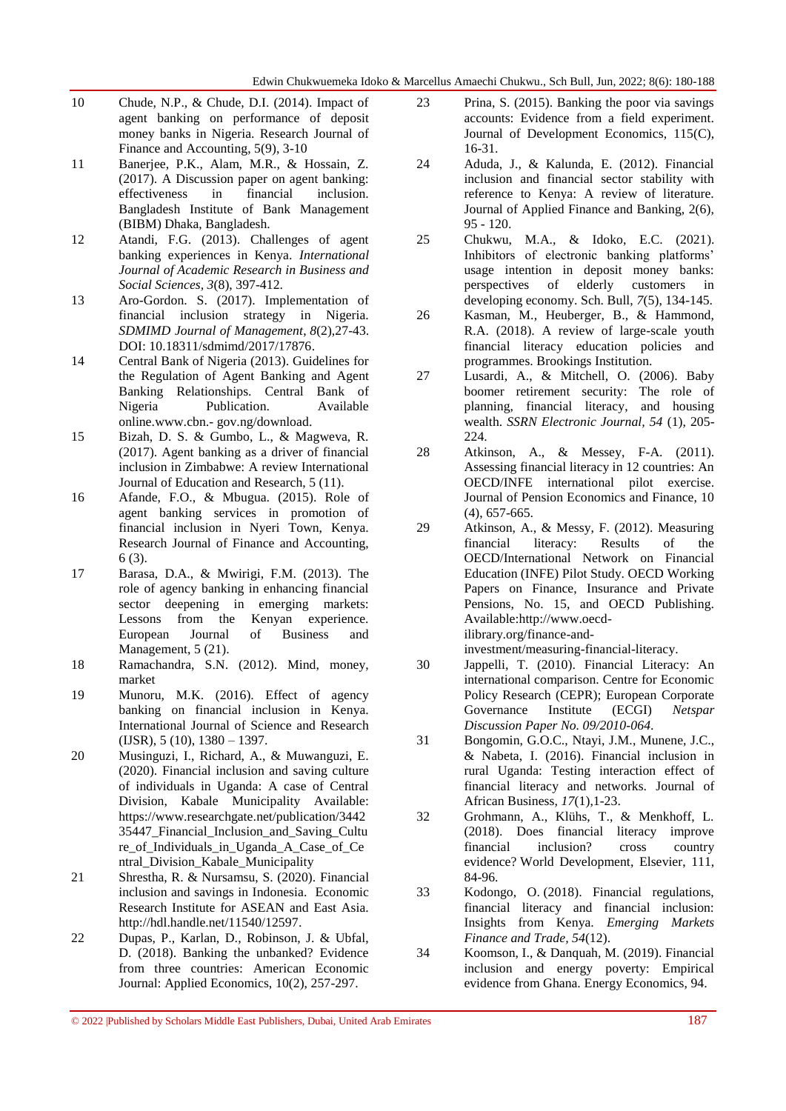- 10 Chude, N.P., & Chude, D.I. (2014). Impact of agent banking on performance of deposit money banks in Nigeria. Research Journal of Finance and Accounting, 5(9), 3-10
- 11 Banerjee, P.K., Alam, M.R., & Hossain, Z. (2017). A Discussion paper on agent banking:<br>effectiveness in financial inclusion. effectiveness in Bangladesh Institute of Bank Management (BIBM) Dhaka, Bangladesh.
- 12 Atandi, F.G. (2013). Challenges of agent banking experiences in Kenya. *International Journal of Academic Research in Business and Social Sciences, 3*(8), 397-412.
- 13 Aro-Gordon. S. (2017). Implementation of financial inclusion strategy in Nigeria. *[SDMIMD Journal of Management](https://www.researchgate.net/journal/SDMIMD-Journal-of-Management-0976-0652)*, *8*(2),27-43. DOI: [10.18311/sdmimd/2017/17876.](http://dx.doi.org/10.18311/sdmimd/2017/17876)
- 14 Central Bank of Nigeria (2013). Guidelines for the Regulation of Agent Banking and Agent Banking Relationships. Central Bank of Nigeria Publication. Available online.www.cbn.- gov.ng/download.
- 15 Bizah, D. S. & Gumbo, L., & Magweva, R. (2017). Agent banking as a driver of financial inclusion in Zimbabwe: A review International Journal of Education and Research, 5 (11).
- 16 Afande, F.O., & Mbugua. (2015). Role of agent banking services in promotion of financial inclusion in Nyeri Town, Kenya. Research Journal of Finance and Accounting, 6 (3).
- 17 Barasa, D.A., & Mwirigi, F.M. (2013). The role of agency banking in enhancing financial sector deepening in emerging markets: Lessons from the Kenyan experience. European Journal of Business and Management, 5 (21).
- 18 Ramachandra, S.N. (2012). Mind, money, market
- 19 Munoru, M.K. (2016). Effect of agency banking on financial inclusion in Kenya. International Journal of Science and Research (IJSR), 5 (10), 1380 – 1397.
- 20 Musinguzi, I., Richard, A., & Muwanguzi, E. (2020). Financial inclusion and saving culture of individuals in Uganda: A case of Central Division, Kabale Municipality Available: https://www.researchgate.net/publication/3442 35447\_Financial\_Inclusion\_and\_Saving\_Cultu re\_of\_Individuals\_in\_Uganda\_A\_Case\_of\_Ce ntral\_Division\_Kabale\_Municipality
- 21 Shrestha, R. & Nursamsu, S. (2020). Financial inclusion and savings in Indonesia. Economic Research Institute for ASEAN and East Asia. [http://hdl.handle.net/11540/12597.](http://hdl.handle.net/11540/12597)
- 22 Dupas, P., Karlan, D., Robinson, J. & Ubfal, D. (2018). Banking the unbanked? Evidence from three countries: American Economic Journal: Applied Economics, 10(2), 257-297.
- 23 Prina, S. (2015). Banking the poor via savings accounts: Evidence from a field experiment. Journal of Development Economics, 115(C), 16-31.
- 24 Aduda, J., & Kalunda, E. (2012). Financial inclusion and financial sector stability with reference to Kenya: A review of literature. Journal of Applied Finance and Banking, 2(6), 95 - 120.
- 25 Chukwu, M.A., & Idoko, E.C. (2021). Inhibitors of electronic banking platforms' usage intention in deposit money banks: perspectives of elderly customers in developing economy. Sch. Bull, *7*(5), 134-145.
- 26 Kasman, M., Heuberger, B., & Hammond, R.A. (2018). A review of large-scale youth financial literacy education policies and programmes. Brookings Institution.
- 27 Lusardi, A., & Mitchell, O. (2006). Baby boomer retirement security: The role of planning, financial literacy, and housing wealth. *SSRN Electronic Journal, 54* (1), 205- 224.
- 28 Atkinson, A., & Messey, F-A. (2011). Assessing financial literacy in 12 countries: An OECD/INFE international pilot exercise. Journal of Pension Economics and Finance, 10 (4), 657-665.
- 29 Atkinson, A., & Messy, F. (2012). Measuring financial literacy: Results of the OECD/International Network on Financial Education (INFE) Pilot Study. OECD Working Papers on Finance, Insurance and Private Pensions, No. 15, and OECD Publishing. Available[:http://www.oecd](http://www.oecd-ilibrary.org/finance-and-investment/measuring-financial-literacy)[ilibrary.org/finance-and-](http://www.oecd-ilibrary.org/finance-and-investment/measuring-financial-literacy)

[investment/measuring-financial-literacy.](http://www.oecd-ilibrary.org/finance-and-investment/measuring-financial-literacy)

- 30 Jappelli, T. (2010). Financial Literacy: An international comparison. Centre for Economic Policy Research (CEPR); European Corporate Governance Institute (ECGI) *[Netspar](https://papers.ssrn.com/sol3/papers.cfm?abstract_id=1716784)  [Discussion Paper No. 09/2010-064](https://papers.ssrn.com/sol3/papers.cfm?abstract_id=1716784)*.
- 31 Bongomin, G.O.C., Ntayi, J.M., Munene, J.C., & Nabeta, I. [\(2016\)](https://jfin-swufe.springeropen.com/articles/10.1186/s40854-021-00259-9#ref-CR11). Financial inclusion in rural Uganda: Testing interaction effect of financial literacy and networks. [Journal of](https://www.researchgate.net/journal/Journal-of-African-Business-1522-9076)  [African Business,](https://www.researchgate.net/journal/Journal-of-African-Business-1522-9076) *17*(1),1-23.
- 32 Grohmann, A., Klühs, T., & Menkhoff, L. (2018). [Does financial literacy improve](https://ideas.repec.org/a/eee/wdevel/v111y2018icp84-96.html)  [financial inclusion? cross country](https://ideas.repec.org/a/eee/wdevel/v111y2018icp84-96.html)  [evidence?](https://ideas.repec.org/a/eee/wdevel/v111y2018icp84-96.html) [World Development,](https://ideas.repec.org/s/eee/wdevel.html) Elsevier, 111, 84-96.
- 33 Kodongo, O. (2018). Financial regulations, financial literacy and financial inclusion: Insights from Kenya. *[Emerging Markets](https://www.researchgate.net/journal/Emerging-Markets-Finance-and-Trade-1540-496X)  [Finance and Trade,](https://www.researchgate.net/journal/Emerging-Markets-Finance-and-Trade-1540-496X) 54*(12).
- 34 Koomson, I., & Danquah, M. (2019). Financial inclusion and energy poverty: Empirical evidence from Ghana. [Energy Economics,](https://econpapers.repec.org/article/eeeeneeco/) 94.